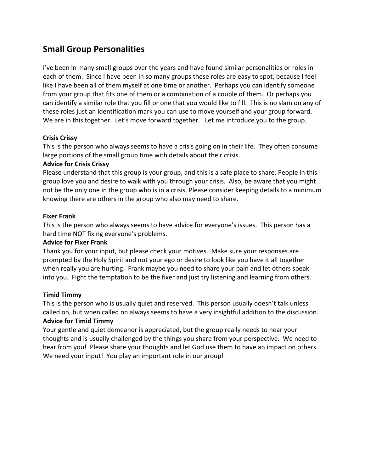# **Small Group Personalities**

I've been in many small groups over the years and have found similar personalities or roles in each of them. Since I have been in so many groups these roles are easy to spot, because I feel like I have been all of them myself at one time or another. Perhaps you can identify someone from your group that fits one of them or a combination of a couple of them. Or perhaps you can identify a similar role that you fill or one that you would like to fill. This is no slam on any of these roles just an identification mark you can use to move yourself and your group forward. We are in this together. Let's move forward together. Let me introduce you to the group.

# **Crisis Crissy**

This is the person who always seems to have a crisis going on in their life. They often consume large portions of the small group time with details about their crisis.

# **Advice for Crisis Crissy**

Please understand that this group is your group, and this is a safe place to share. People in this group love you and desire to walk with you through your crisis. Also, be aware that you might not be the only one in the group who is in a crisis. Please consider keeping details to a minimum knowing there are others in the group who also may need to share.

# **Fixer Frank**

This is the person who always seems to have advice for everyone's issues. This person has a hard time NOT fixing everyone's problems.

# **Advice for Fixer Frank**

Thank you for your input, but please check your motives. Make sure your responses are prompted by the Holy Spirit and not your ego or desire to look like you have it all together when really you are hurting. Frank maybe you need to share your pain and let others speak into you. Fight the temptation to be the fixer and just try listening and learning from others.

# **Timid Timmy**

This is the person who is usually quiet and reserved. This person usually doesn't talk unless called on, but when called on always seems to have a very insightful addition to the discussion. **Advice for Timid Timmy** 

Your gentle and quiet demeanor is appreciated, but the group really needs to hear your thoughts and is usually challenged by the things you share from your perspective. We need to hear from you! Please share your thoughts and let God use them to have an impact on others. We need your input! You play an important role in our group!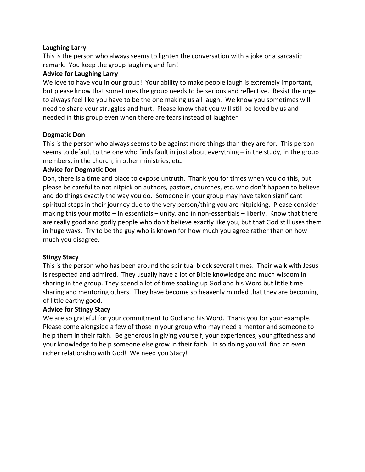#### **Laughing Larry**

This is the person who always seems to lighten the conversation with a joke or a sarcastic remark. You keep the group laughing and fun!

#### **Advice for Laughing Larry**

We love to have you in our group! Your ability to make people laugh is extremely important, but please know that sometimes the group needs to be serious and reflective. Resist the urge to always feel like you have to be the one making us all laugh. We know you sometimes will need to share your struggles and hurt. Please know that you will still be loved by us and needed in this group even when there are tears instead of laughter!

#### **Dogmatic Don**

This is the person who always seems to be against more things than they are for. This person seems to default to the one who finds fault in just about everything  $-$  in the study, in the group members, in the church, in other ministries, etc.

#### **Advice for Dogmatic Don**

Don, there is a time and place to expose untruth. Thank you for times when you do this, but please be careful to not nitpick on authors, pastors, churches, etc. who don't happen to believe and do things exactly the way you do. Someone in your group may have taken significant spiritual steps in their journey due to the very person/thing you are nitpicking. Please consider making this your motto  $-$  In essentials  $-$  unity, and in non-essentials  $-$  liberty. Know that there are really good and godly people who don't believe exactly like you, but that God still uses them in huge ways. Try to be the guy who is known for how much you agree rather than on how much you disagree.

# **Stingy Stacy**

This is the person who has been around the spiritual block several times. Their walk with Jesus is respected and admired. They usually have a lot of Bible knowledge and much wisdom in sharing in the group. They spend a lot of time soaking up God and his Word but little time sharing and mentoring others. They have become so heavenly minded that they are becoming of little earthy good.

# **Advice for Stingy Stacy**

We are so grateful for your commitment to God and his Word. Thank you for your example. Please come alongside a few of those in your group who may need a mentor and someone to help them in their faith. Be generous in giving yourself, your experiences, your giftedness and your knowledge to help someone else grow in their faith. In so doing you will find an even richer relationship with God! We need you Stacy!